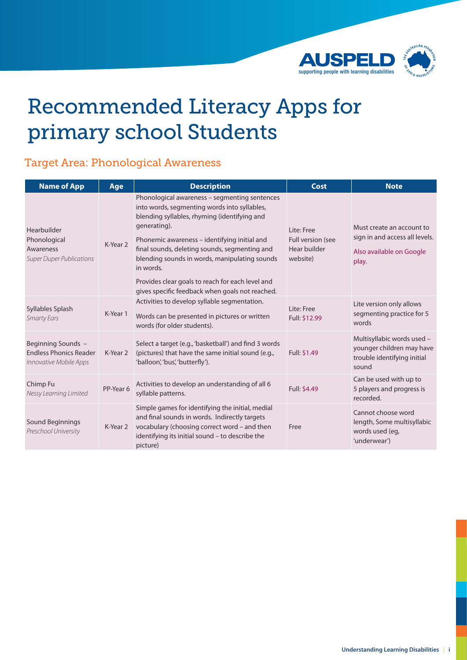

# Recommended Literacy Apps for primary school Students

#### Target Area: Phonological Awareness

| <b>Name of App</b>                                                            | Age       | <b>Description</b>                                                                                                                                                                                                                                                                                                                                                                                                                  | Cost                                                        | <b>Note</b>                                                                                      |
|-------------------------------------------------------------------------------|-----------|-------------------------------------------------------------------------------------------------------------------------------------------------------------------------------------------------------------------------------------------------------------------------------------------------------------------------------------------------------------------------------------------------------------------------------------|-------------------------------------------------------------|--------------------------------------------------------------------------------------------------|
| Hearbuilder<br>Phonological<br>Awareness<br><b>Super Duper Publications</b>   | K-Year 2  | Phonological awareness - segmenting sentences<br>into words, segmenting words into syllables,<br>blending syllables, rhyming (identifying and<br>generating).<br>Phonemic awareness – identifying initial and<br>final sounds, deleting sounds, segmenting and<br>blending sounds in words, manipulating sounds<br>in words.<br>Provides clear goals to reach for each level and<br>gives specific feedback when goals not reached. | Lite: Free<br>Full version (see<br>Hear builder<br>website) | Must create an account to<br>sign in and access all levels.<br>Also available on Google<br>play. |
| Syllables Splash<br><b>Smarty Ears</b>                                        | K-Year 1  | Activities to develop syllable segmentation.<br>Words can be presented in pictures or written<br>words (for older students).                                                                                                                                                                                                                                                                                                        | Lite: Free<br>Full: \$12.99                                 | Lite version only allows<br>segmenting practice for 5<br>words                                   |
| Beginning Sounds -<br><b>Endless Phonics Reader</b><br>Innovative Mobile Apps | K-Year 2  | Select a target (e.g., 'basketball') and find 3 words<br>(pictures) that have the same initial sound (e.g.,<br>'balloon', 'bus', 'butterfly').                                                                                                                                                                                                                                                                                      | Full: \$1.49                                                | Multisyllabic words used -<br>younger children may have<br>trouble identifying initial<br>sound  |
| Chimp Fu<br>Nessy Learning Limited                                            | PP-Year 6 | Activities to develop an understanding of all 6<br>syllable patterns.                                                                                                                                                                                                                                                                                                                                                               | Full: \$4.49                                                | Can be used with up to<br>5 players and progress is<br>recorded.                                 |
| Sound Beginnings<br>Preschool University                                      | K-Year 2  | Simple games for identifying the initial, medial<br>and final sounds in words. Indirectly targets<br>vocabulary (choosing correct word - and then<br>identifying its initial sound - to describe the<br>picture)                                                                                                                                                                                                                    | Free                                                        | Cannot choose word<br>length, Some multisyllabic<br>words used (eq,<br>'underwear')              |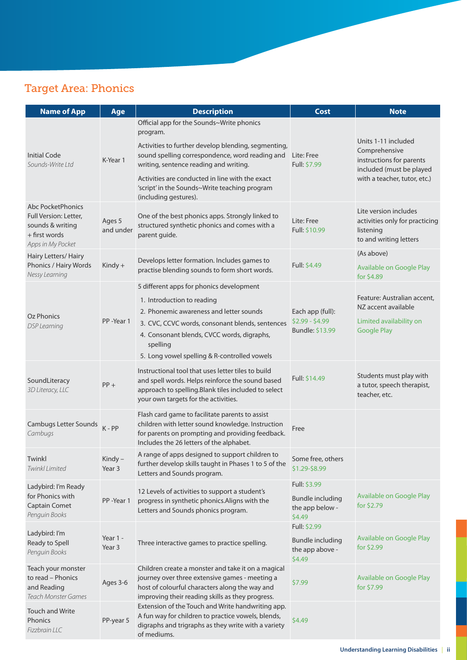### Target Area: Phonics

| <b>Name of App</b>                                                                                     | Age                 | <b>Description</b>                                                                                                                                                                                         | <b>Cost</b>                                          | <b>Note</b>                                                                                    |
|--------------------------------------------------------------------------------------------------------|---------------------|------------------------------------------------------------------------------------------------------------------------------------------------------------------------------------------------------------|------------------------------------------------------|------------------------------------------------------------------------------------------------|
|                                                                                                        |                     | Official app for the Sounds~Write phonics<br>program.                                                                                                                                                      |                                                      |                                                                                                |
| <b>Initial Code</b><br>Sounds-Write Ltd                                                                | K-Year 1            | Activities to further develop blending, segmenting,<br>sound spelling correspondence, word reading and<br>writing, sentence reading and writing.                                                           | Lite: Free<br>Full: \$7.99                           | Units 1-11 included<br>Comprehensive<br>instructions for parents<br>included (must be played   |
|                                                                                                        |                     | Activities are conducted in line with the exact<br>'script' in the Sounds~Write teaching program<br>(including gestures).                                                                                  |                                                      | with a teacher, tutor, etc.)                                                                   |
| Abc PocketPhonics<br>Full Version: Letter,<br>sounds & writing<br>$+$ first words<br>Apps in My Pocket | Ages 5<br>and under | One of the best phonics apps. Strongly linked to<br>structured synthetic phonics and comes with a<br>parent guide.                                                                                         | Lite: Free<br>Full: \$10.99                          | Lite version includes<br>activities only for practicing<br>listening<br>to and writing letters |
| Hairy Letters/ Hairy<br>Phonics / Hairy Words<br>Nessy Learning                                        | $King +$            | Develops letter formation. Includes games to<br>practise blending sounds to form short words.                                                                                                              | Full: \$4.49                                         | (As above)<br>Available on Google Play<br>for \$4.89                                           |
|                                                                                                        |                     | 5 different apps for phonics development                                                                                                                                                                   |                                                      |                                                                                                |
|                                                                                                        |                     | 1. Introduction to reading                                                                                                                                                                                 |                                                      | Feature: Australian accent.<br>NZ accent available                                             |
| Oz Phonics                                                                                             |                     | 2. Phonemic awareness and letter sounds                                                                                                                                                                    | Each app (full):                                     |                                                                                                |
| <b>DSP</b> Learning                                                                                    | PP-Year 1           | 3. CVC, CCVC words, consonant blends, sentences<br>4. Consonant blends, CVCC words, digraphs,<br>spelling                                                                                                  | $$2.99 - $4.99$<br>Bundle: \$13.99                   | Limited availability on<br><b>Google Play</b>                                                  |
|                                                                                                        |                     | 5. Long vowel spelling & R-controlled vowels                                                                                                                                                               |                                                      |                                                                                                |
| SoundLiteracy<br>3D Literacy, LLC                                                                      | $PP +$              | Instructional tool that uses letter tiles to build<br>and spell words. Helps reinforce the sound based<br>approach to spelling. Blank tiles included to select<br>your own targets for the activities.     | Full: \$14.49                                        | Students must play with<br>a tutor, speech therapist,<br>teacher, etc.                         |
| <b>Cambugs Letter Sounds</b><br>Cambugs                                                                | $K - PP$            | Flash card game to facilitate parents to assist<br>children with letter sound knowledge. Instruction<br>for parents on prompting and providing feedback.<br>Includes the 26 letters of the alphabet.       | Free                                                 |                                                                                                |
| Twinkl<br>Twinkl Limited                                                                               | Kindy-<br>Year 3    | A range of apps designed to support children to<br>further develop skills taught in Phases 1 to 5 of the<br>Letters and Sounds program.                                                                    | Some free, others<br>\$1.29-\$8.99                   |                                                                                                |
| Ladybird: I'm Ready                                                                                    |                     | 12 Levels of activities to support a student's                                                                                                                                                             | Full: \$3.99                                         |                                                                                                |
| for Phonics with<br><b>Captain Comet</b><br>Penguin Books                                              | PP-Year 1           | progress in synthetic phonics. Aligns with the<br>Letters and Sounds phonics program.                                                                                                                      | <b>Bundle including</b><br>the app below -<br>\$4.49 | Available on Google Play<br>for \$2.79                                                         |
| Ladybird: I'm<br>Ready to Spell<br>Penguin Books                                                       |                     | Three interactive games to practice spelling.                                                                                                                                                              | Full: \$2.99                                         |                                                                                                |
|                                                                                                        | Year 1 -<br>Year 3  |                                                                                                                                                                                                            | <b>Bundle including</b><br>the app above -<br>\$4.49 | Available on Google Play<br>for \$2.99                                                         |
| Teach your monster<br>to read - Phonics<br>and Reading<br><b>Teach Monster Games</b>                   | Ages 3-6            | Children create a monster and take it on a magical<br>journey over three extensive games - meeting a<br>host of colourful characters along the way and<br>improving their reading skills as they progress. | \$7.99                                               | Available on Google Play<br>for \$7.99                                                         |
| <b>Touch and Write</b><br>Phonics<br>Fizzbrain LLC                                                     | PP-year 5           | Extension of the Touch and Write handwriting app.<br>A fun way for children to practice vowels, blends,<br>digraphs and trigraphs as they write with a variety<br>of mediums.                              | \$4.49                                               |                                                                                                |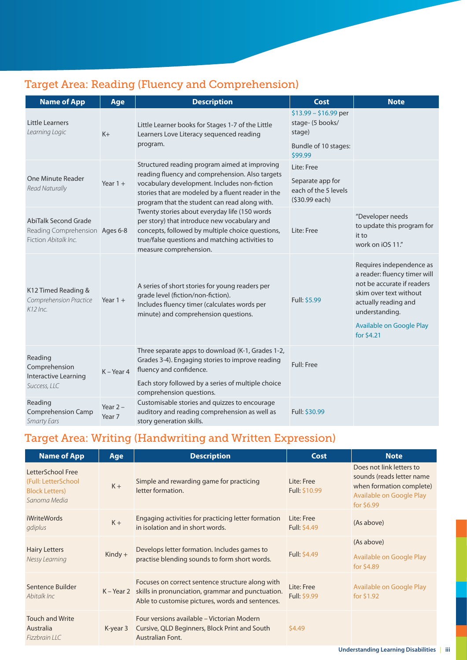### Target Area: Reading (Fluency and Comprehension)

| <b>Name of App</b>                                                                    | Age                  | <b>Description</b>                                                                                                                                                                                                                                      | <b>Cost</b>                                                                         | <b>Note</b>                                                                                                                                                                                          |
|---------------------------------------------------------------------------------------|----------------------|---------------------------------------------------------------------------------------------------------------------------------------------------------------------------------------------------------------------------------------------------------|-------------------------------------------------------------------------------------|------------------------------------------------------------------------------------------------------------------------------------------------------------------------------------------------------|
| Little Learners<br>Learning Logic                                                     | $K +$                | Little Learner books for Stages 1-7 of the Little<br>Learners Love Literacy sequenced reading<br>program.                                                                                                                                               | $$13.99 - $16.99$ per<br>stage- (5 books/<br>stage)<br>Bundle of 10 stages:         |                                                                                                                                                                                                      |
| One Minute Reader<br><b>Read Naturally</b>                                            | Year $1 +$           | Structured reading program aimed at improving<br>reading fluency and comprehension. Also targets<br>vocabulary development. Includes non-fiction<br>stories that are modeled by a fluent reader in the<br>program that the student can read along with. | \$99.99<br>Lite: Free<br>Separate app for<br>each of the 5 levels<br>(\$30.99 each) |                                                                                                                                                                                                      |
| <b>AbiTalk Second Grade</b><br>Reading Comprehension Ages 6-8<br>Fiction Abitalk Inc. |                      | Twenty stories about everyday life (150 words<br>per story) that introduce new vocabulary and<br>concepts, followed by multiple choice questions,<br>true/false questions and matching activities to<br>measure comprehension.                          | Lite: Free                                                                          | "Developer needs<br>to update this program for<br>it to<br>work on iOS 11."                                                                                                                          |
| K12 Timed Reading &<br>Comprehension Practice<br>$K12$ Inc.                           | Year $1 +$           | A series of short stories for young readers per<br>grade level (fiction/non-fiction).<br>Includes fluency timer (calculates words per<br>minute) and comprehension questions.                                                                           | Full: \$5.99                                                                        | Requires independence as<br>a reader: fluency timer will<br>not be accurate if readers<br>skim over text without<br>actually reading and<br>understanding.<br>Available on Google Play<br>for \$4.21 |
| Reading<br>Comprehension<br>Interactive Learning<br>Success, LLC                      | $K - Year$ 4         | Three separate apps to download (K-1, Grades 1-2,<br>Grades 3-4). Engaging stories to improve reading<br>fluency and confidence.<br>Each story followed by a series of multiple choice                                                                  | Full: Free                                                                          |                                                                                                                                                                                                      |
| Reading<br><b>Comprehension Camp</b><br><b>Smarty Ears</b>                            | Year $2 -$<br>Year 7 | comprehension questions.<br>Customisable stories and quizzes to encourage<br>auditory and reading comprehension as well as<br>story generation skills.                                                                                                  | Full: \$30.99                                                                       |                                                                                                                                                                                                      |

### Target Area: Writing (Handwriting and Written Expression)

| <b>Name of App</b>                                                                 | Age       | <b>Description</b>                                                                                                                                                   | Cost                              | <b>Note</b>                                                                                                                 |
|------------------------------------------------------------------------------------|-----------|----------------------------------------------------------------------------------------------------------------------------------------------------------------------|-----------------------------------|-----------------------------------------------------------------------------------------------------------------------------|
| LetterSchool Free<br>(Full: LetterSchool<br><b>Block Letters</b> )<br>Sanoma Media | $K +$     | Simple and rewarding game for practicing<br>letter formation.                                                                                                        | Lite: Free<br>Full: \$10.99       | Does not link letters to<br>sounds (reads letter name<br>when formation complete)<br>Available on Google Play<br>for \$6.99 |
| <i>iWriteWords</i><br>gdiplus                                                      | $K +$     | Engaging activities for practicing letter formation<br>in isolation and in short words.                                                                              | Lite: Free<br><b>Full: \$4.49</b> | (As above)                                                                                                                  |
| <b>Hairy Letters</b><br>Nessy Learning                                             | $Kindy +$ | Develops letter formation. Includes games to<br>practise blending sounds to form short words.                                                                        | Full: \$4.49                      | (As above)<br>Available on Google Play<br>for \$4.89                                                                        |
| Sentence Builder<br>Abitalk Inc.                                                   |           | Focuses on correct sentence structure along with<br>K – Year 2 skills in pronunciation, grammar and punctuation.<br>Able to customise pictures, words and sentences. | Lite: Free<br>Full: \$9.99        | Available on Google Play<br>for \$1.92                                                                                      |
| <b>Touch and Write</b><br>Australia<br>Fizzbrain LLC                               | K-year 3  | Four versions available - Victorian Modern<br>Cursive, QLD Beginners, Block Print and South<br><b>Australian Font.</b>                                               | \$4.49                            |                                                                                                                             |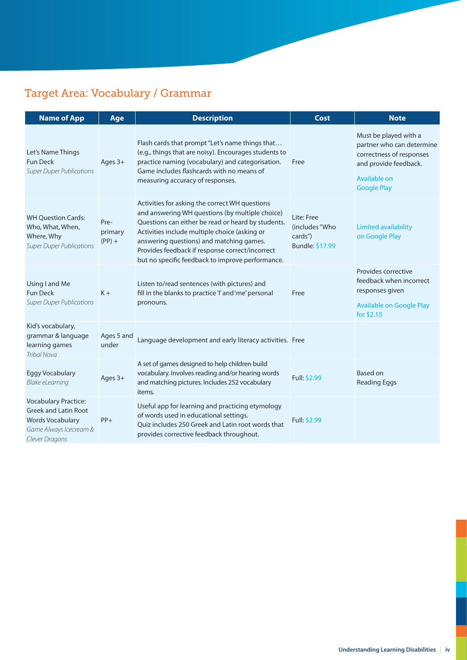### Target Area: Vocabulary / Grammar

| <b>Name of App</b>                                                                                                         | Age                         | <b>Description</b>                                                                                                                                                                                                                                                                                                                                          | Cost                                                       | <b>Note</b>                                                                                                                                   |
|----------------------------------------------------------------------------------------------------------------------------|-----------------------------|-------------------------------------------------------------------------------------------------------------------------------------------------------------------------------------------------------------------------------------------------------------------------------------------------------------------------------------------------------------|------------------------------------------------------------|-----------------------------------------------------------------------------------------------------------------------------------------------|
| Let's Name Things<br><b>Fun Deck</b><br><b>Super Duper Publications</b>                                                    | Ages 3+                     | Flash cards that prompt "Let's name things that<br>(e.g., things that are noisy). Encourages students to<br>practice naming (vocabulary) and categorisation.<br>Game includes flashcards with no means of<br>measuring accuracy of responses.                                                                                                               | Free                                                       | Must be played with a<br>partner who can determine<br>correctness of responses<br>and provide feedback.<br>Available on<br><b>Google Play</b> |
| <b>WH Ouestion Cards:</b><br>Who, What, When,<br>Where, Why<br><b>Super Duper Publications</b>                             | Pre-<br>primary<br>$(PP) +$ | Activities for asking the correct WH questions<br>and answering WH questions (by multiple choice)<br>Questions can either be read or heard by students.<br>Activities include multiple choice (asking or<br>answering questions) and matching games.<br>Provides feedback if response correct/incorrect<br>but no specific feedback to improve performance. | Lite: Free<br>(includes "Who<br>cards")<br>Bundle: \$17.99 | <b>Limited availability</b><br>on Google Play                                                                                                 |
| Using I and Me<br><b>Fun Deck</b><br><b>Super Duper Publications</b>                                                       | $K +$                       | Listen to/read sentences (with pictures) and<br>fill in the blanks to practice 'I' and 'me' personal<br>pronouns.                                                                                                                                                                                                                                           | Free                                                       | Provides corrective<br>feedback when incorrect<br>responses given<br><b>Available on Google Play</b><br>for \$2.15                            |
| Kid's vocabulary,<br>grammar & language<br>learning games<br><b>Tribal Nova</b>                                            | Ages 5 and<br>under         | Language development and early literacy activities. Free                                                                                                                                                                                                                                                                                                    |                                                            |                                                                                                                                               |
| <b>Eggy Vocabulary</b><br>Blake eLearning                                                                                  | Ages 3+                     | A set of games designed to help children build<br>vocabulary. Involves reading and/or hearing words<br>and matching pictures. Includes 252 vocabulary<br>items.                                                                                                                                                                                             | Full: \$2.99                                               | Based on<br><b>Reading Eggs</b>                                                                                                               |
| <b>Vocabulary Practice:</b><br><b>Greek and Latin Root</b><br>Words Vocabulary<br>Game Always Icecream &<br>Clever Dragons | $PP+$                       | Useful app for learning and practicing etymology<br>of words used in educational settings.<br>Quiz includes 250 Greek and Latin root words that<br>provides corrective feedback throughout.                                                                                                                                                                 | <b>Full: \$2.99</b>                                        |                                                                                                                                               |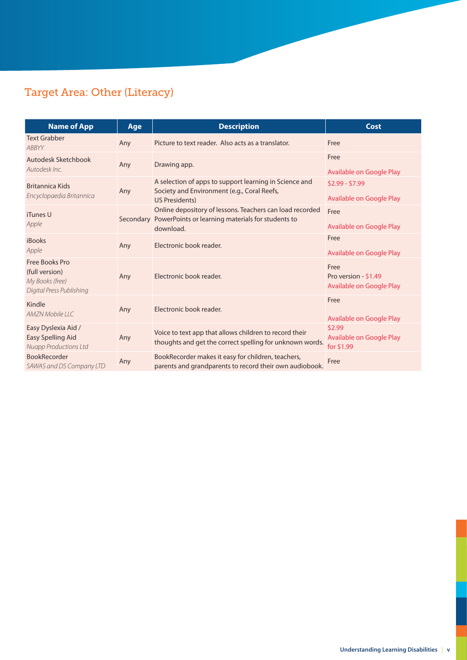# Target Area: Other (Literacy)

| <b>Name of App</b>                                                              | Age       | <b>Description</b>                                                                                                         | Cost                                                     |
|---------------------------------------------------------------------------------|-----------|----------------------------------------------------------------------------------------------------------------------------|----------------------------------------------------------|
| <b>Text Grabber</b><br>ABBYY                                                    | Any       | Picture to text reader. Also acts as a translator.                                                                         | Free                                                     |
| Autodesk Sketchbook<br>Autodesk Inc.                                            | Any       | Drawing app.                                                                                                               | Free<br>Available on Google Play                         |
| Britannica Kids<br>Encyclopaedia Britannica                                     | Any       | A selection of apps to support learning in Science and<br>Society and Environment (e.g., Coral Reefs,<br>US Presidents)    | $$2.99 - $7.99$<br>Available on Google Play              |
| iTunes U<br>Apple                                                               | Secondary | Online depository of lessons. Teachers can load recorded<br>PowerPoints or learning materials for students to<br>download. | Free<br>Available on Google Play                         |
| iBooks<br>Apple                                                                 | Any       | Electronic book reader.                                                                                                    | Free<br>Available on Google Play                         |
| Free Books Pro<br>(full version)<br>My Books (free)<br>Digital Press Publishing | Any       | Electronic book reader.                                                                                                    | Free<br>Pro version - \$1.49<br>Available on Google Play |
| Kindle<br>AMZN Mobile LLC                                                       | Any       | Electronic book reader.                                                                                                    | Free<br>Available on Google Play                         |
| Easy Dyslexia Aid /<br>Easy Spelling Aid<br><b>Nuapp Productions Ltd</b>        | Any       | Voice to text app that allows children to record their<br>thoughts and get the correct spelling for unknown words.         | \$2.99<br>Available on Google Play<br>for \$1.99         |
| <b>BookRecorder</b><br>SAWAS and DS Company LTD                                 | Any       | BookRecorder makes it easy for children, teachers,<br>parents and grandparents to record their own audiobook.              | Free                                                     |